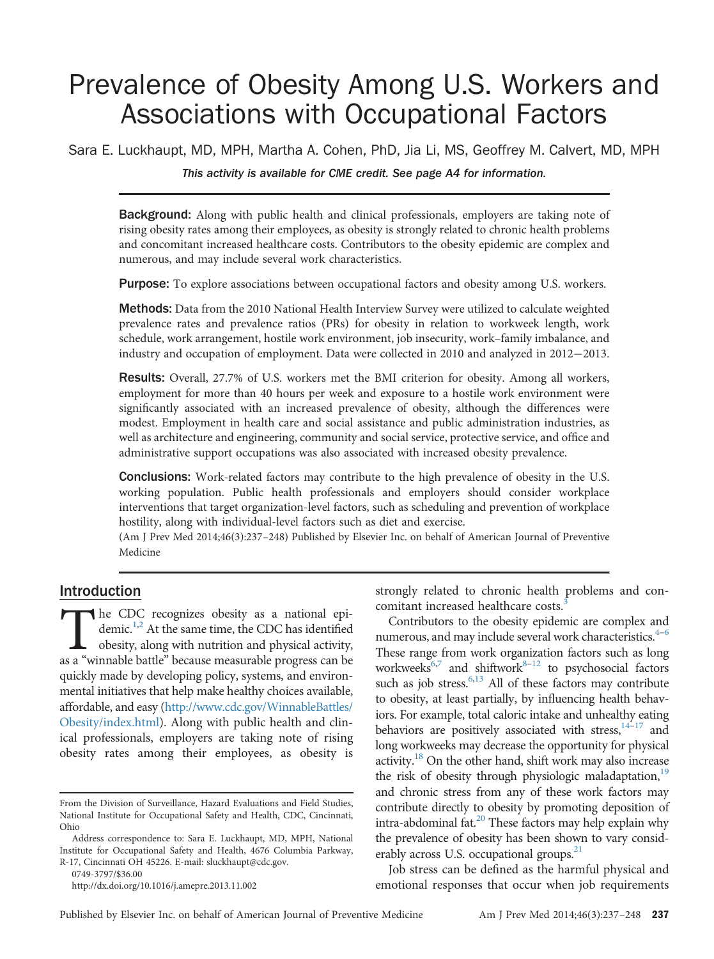# Prevalence of Obesity Among U.S. Workers and Associations with Occupational Factors

Sara E. Luckhaupt, MD, MPH, Martha A. Cohen, PhD, Jia Li, MS, Geoffrey M. Calvert, MD, MPH

This activity is available for CME credit. See page A4 for information.

Background: Along with public health and clinical professionals, employers are taking note of rising obesity rates among their employees, as obesity is strongly related to chronic health problems and concomitant increased healthcare costs. Contributors to the obesity epidemic are complex and numerous, and may include several work characteristics.

Purpose: To explore associations between occupational factors and obesity among U.S. workers.

Methods: Data from the 2010 National Health Interview Survey were utilized to calculate weighted prevalence rates and prevalence ratios (PRs) for obesity in relation to workweek length, work schedule, work arrangement, hostile work environment, job insecurity, work–family imbalance, and industry and occupation of employment. Data were collected in 2010 and analyzed in 2012–2013.

Results: Overall, 27.7% of U.S. workers met the BMI criterion for obesity. Among all workers, employment for more than 40 hours per week and exposure to a hostile work environment were significantly associated with an increased prevalence of obesity, although the differences were modest. Employment in health care and social assistance and public administration industries, as well as architecture and engineering, community and social service, protective service, and office and administrative support occupations was also associated with increased obesity prevalence.

Conclusions: Work-related factors may contribute to the high prevalence of obesity in the U.S. working population. Public health professionals and employers should consider workplace interventions that target organization-level factors, such as scheduling and prevention of workplace hostility, along with individual-level factors such as diet and exercise.

(Am J Prev Med 2014;46(3):237–248) Published by Elsevier Inc. on behalf of American Journal of Preventive Medicine

### Introduction

The C[DC](#page-11-0) recognizes obesity as a national epi-<br>demic.<sup>1,2</sup> At the same time, the CDC has identified<br>obesity, along with nutrition and physical activity,<br>as a "winnable battle" because measurable progress can be demic.<sup>1,2</sup> At the same time, the CDC has identified obesity, along with nutrition and physical activity, as a "winnable battle" because measurable progress can be quickly made by developing policy, systems, and environmental initiatives that help make healthy choices available, affordable, and easy [\(http://www.cdc.gov/WinnableBattles/](http://www.cdc.gov/WinnableBattles/Obesity/index.html) [Obesity/index.html\)](http://www.cdc.gov/WinnableBattles/Obesity/index.html). Along with public health and clinical professionals, employers are taking note of rising obesity rates among their employees, as obesity is

0749-3797/\$36.00

[http://dx.doi.org/10.1016/j.amepre.2013.11.002](dx.doi.org/10.1016/j.amepre.2013.11.002)

strongly related to chronic health problems and con-comitant increased healthcare costs.<sup>[3](#page-11-0)</sup>

Contributors to the obesity epidemic are complex and numerous, and may include several work characteristics. $4-6$  $4-6$  $4-6$ These range from work organization factors such as long workweeks<sup>[6,7](#page-11-0)</sup> and shiftwork<sup>[8](#page-11-0)–[12](#page-11-0)</sup> to psychosocial factors such as job stress. $6,13$  All of these factors may contribute to obesity, at least partially, by influencing health behaviors. For example, total caloric intake and unhealthy eating behaviors are positively associated with stress, $14-17$  $14-17$  and long workweeks may decrease the opportunity for physical activity.<sup>18</sup> On the other hand, shift work may also increase the risk of obesity through physiologic maladaptation,  $19$ and chronic stress from any of these work factors may contribute directly to obesity by promoting deposition of intra-abdominal fat[.20](#page-11-0) These factors may help explain why the prevalence of obesity has been shown to vary considerably across U.S. occupational groups. $21$ 

Job stress can be defined as the harmful physical and emotional responses that occur when job requirements

From the Division of Surveillance, Hazard Evaluations and Field Studies, National Institute for Occupational Safety and Health, CDC, Cincinnati, Ohio

Address correspondence to: Sara E. Luckhaupt, MD, MPH, National Institute for Occupational Safety and Health, 4676 Columbia Parkway, R-17, Cincinnati OH 45226. E-mail: [sluckhaupt@cdc.gov](mailto:sluckhaupt@cdc.gov).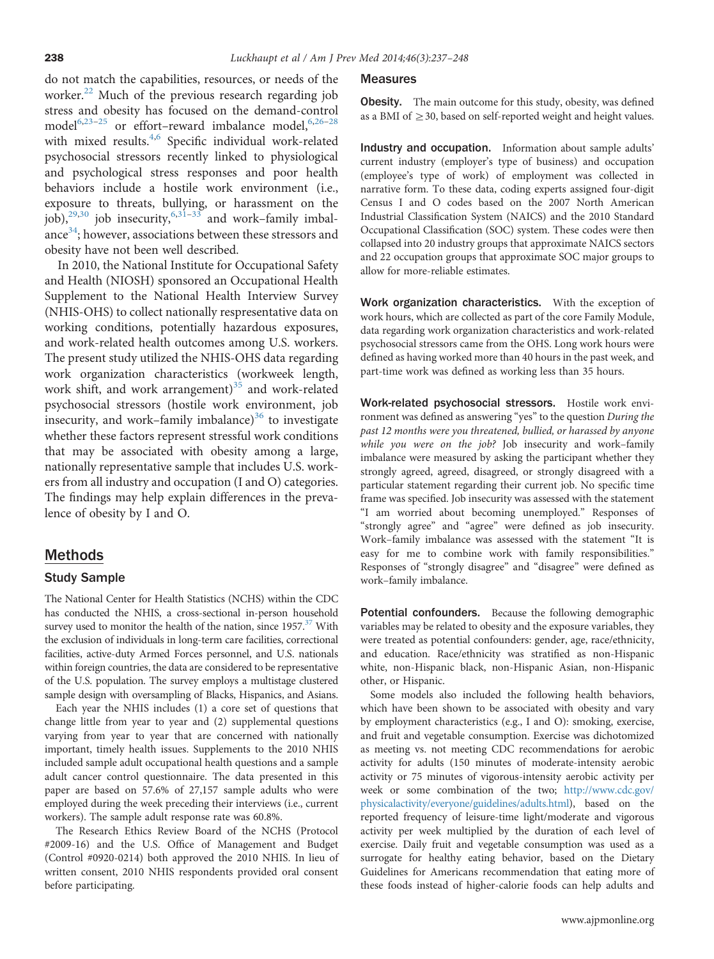do not match the capabilities, resources, or needs of the worker.[22](#page-11-0) Much of the previous research regarding job stress and obesity has focused on the demand-control model<sup>6,23–[25](#page-11-0)</sup> or effort–reward imbalance model,<sup>[6](#page-11-0),[26](#page-11-0)–[28](#page-11-0)</sup> with mixed results.<sup>4,[6](#page-11-0)</sup> Specific individual work-related psychosocial stressors recently linked to physiological and psychological stress responses and poor health behaviors include a hostile work environment (i.e., exposure to threats, bullying, or harassment on the job),<sup>29,30</sup> job insecurity,<sup>[6,31](#page-11-0)–[33](#page-11-0)</sup> and work–family imbalance $34$ ; however, associations between these stressors and obesity have not been well described.

In 2010, the National Institute for Occupational Safety and Health (NIOSH) sponsored an Occupational Health Supplement to the National Health Interview Survey (NHIS-OHS) to collect nationally respresentative data on working conditions, potentially hazardous exposures, and work-related health outcomes among U.S. workers. The present study utilized the NHIS-OHS data regarding work organization characteristics (workweek length, work shift, and work arrangement) $35$  and work-related psychosocial stressors (hostile work environment, job insecurity, and work–family imbalance) $36$  to investigate whether these factors represent stressful work conditions that may be associated with obesity among a large, nationally representative sample that includes U.S. workers from all industry and occupation (I and O) categories. The findings may help explain differences in the prevalence of obesity by I and O.

#### Methods

#### Study Sample

The National Center for Health Statistics (NCHS) within the CDC has conducted the NHIS, a cross-sectional in-person household survey used to monitor the health of the nation, since  $1957<sup>37</sup>$  With the exclusion of individuals in long-term care facilities, correctional facilities, active-duty Armed Forces personnel, and U.S. nationals within foreign countries, the data are considered to be representative of the U.S. population. The survey employs a multistage clustered sample design with oversampling of Blacks, Hispanics, and Asians.

Each year the NHIS includes (1) a core set of questions that change little from year to year and (2) supplemental questions varying from year to year that are concerned with nationally important, timely health issues. Supplements to the 2010 NHIS included sample adult occupational health questions and a sample adult cancer control questionnaire. The data presented in this paper are based on 57.6% of 27,157 sample adults who were employed during the week preceding their interviews (i.e., current workers). The sample adult response rate was 60.8%.

The Research Ethics Review Board of the NCHS (Protocol #2009-16) and the U.S. Office of Management and Budget (Control #0920-0214) both approved the 2010 NHIS. In lieu of written consent, 2010 NHIS respondents provided oral consent before participating.

#### **Measures**

**Obesity.** The main outcome for this study, obesity, was defined as a BMI of  $\geq$  30, based on self-reported weight and height values.

Industry and occupation. Information about sample adults' current industry (employer's type of business) and occupation (employee's type of work) of employment was collected in narrative form. To these data, coding experts assigned four-digit Census I and O codes based on the 2007 North American Industrial Classification System (NAICS) and the 2010 Standard Occupational Classification (SOC) system. These codes were then collapsed into 20 industry groups that approximate NAICS sectors and 22 occupation groups that approximate SOC major groups to allow for more-reliable estimates.

Work organization characteristics. With the exception of work hours, which are collected as part of the core Family Module, data regarding work organization characteristics and work-related psychosocial stressors came from the OHS. Long work hours were defined as having worked more than 40 hours in the past week, and part-time work was defined as working less than 35 hours.

Work-related psychosocial stressors. Hostile work environment was defined as answering "yes" to the question During the past 12 months were you threatened, bullied, or harassed by anyone while you were on the job? Job insecurity and work-family imbalance were measured by asking the participant whether they strongly agreed, agreed, disagreed, or strongly disagreed with a particular statement regarding their current job. No specific time frame was specified. Job insecurity was assessed with the statement "I am worried about becoming unemployed." Responses of "strongly agree" and "agree" were defined as job insecurity. Work–family imbalance was assessed with the statement "It is easy for me to combine work with family responsibilities." Responses of "strongly disagree" and "disagree" were defined as work–family imbalance.

Potential confounders. Because the following demographic variables may be related to obesity and the exposure variables, they were treated as potential confounders: gender, age, race/ethnicity, and education. Race/ethnicity was stratified as non-Hispanic white, non-Hispanic black, non-Hispanic Asian, non-Hispanic other, or Hispanic.

Some models also included the following health behaviors, which have been shown to be associated with obesity and vary by employment characteristics (e.g., I and O): smoking, exercise, and fruit and vegetable consumption. Exercise was dichotomized as meeting vs. not meeting CDC recommendations for aerobic activity for adults (150 minutes of moderate-intensity aerobic activity or 75 minutes of vigorous-intensity aerobic activity per week or some combination of the two; [http://www.cdc.gov/](http://www.cdc.gov/physicalactivity/everyone/guidelines/adults.html) [physicalactivity/everyone/guidelines/adults.html](http://www.cdc.gov/physicalactivity/everyone/guidelines/adults.html)), based on the reported frequency of leisure-time light/moderate and vigorous activity per week multiplied by the duration of each level of exercise. Daily fruit and vegetable consumption was used as a surrogate for healthy eating behavior, based on the Dietary Guidelines for Americans recommendation that eating more of these foods instead of higher-calorie foods can help adults and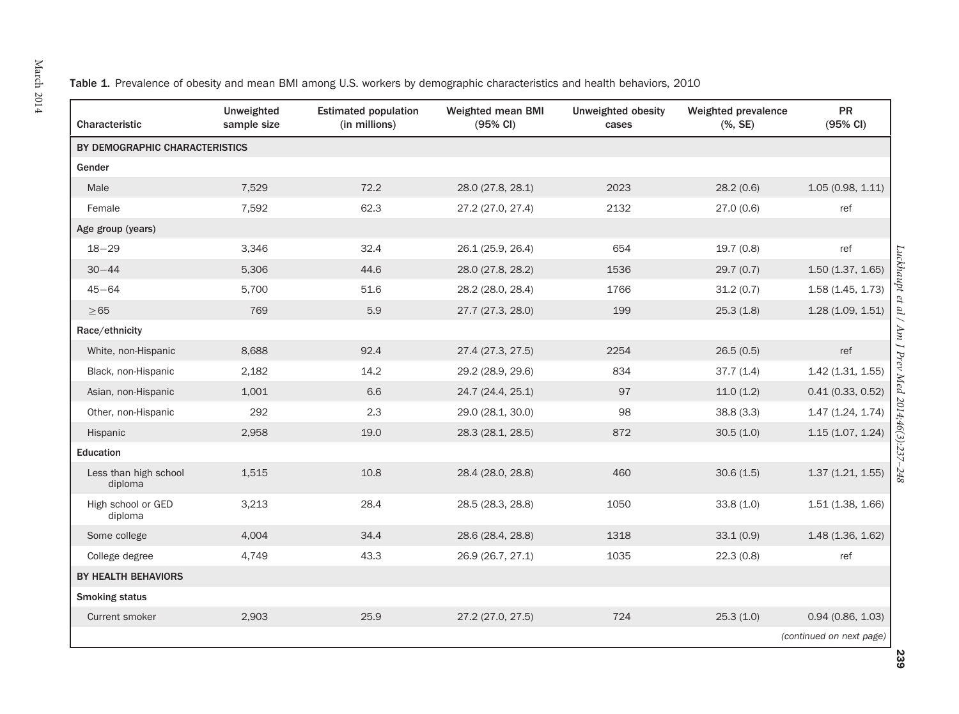<span id="page-2-0"></span>

|  |  |  |  |  |  |  | Table 1. Prevalence of obesity and mean BMI among U.S. workers by demographic characteristics and health behaviors, 2010 |  |  |  |
|--|--|--|--|--|--|--|--------------------------------------------------------------------------------------------------------------------------|--|--|--|
|--|--|--|--|--|--|--|--------------------------------------------------------------------------------------------------------------------------|--|--|--|

| Characteristic                   | Unweighted<br>sample size | <b>Estimated population</b><br>(in millions) | <b>Weighted mean BMI</b><br>$(95% \text{ Cl})$ | <b>Unweighted obesity</b><br>cases | Weighted prevalence<br>$(% )^{2}(1, 5[ )^{2})$ | PR<br>$(95% \text{ Cl})$ |
|----------------------------------|---------------------------|----------------------------------------------|------------------------------------------------|------------------------------------|------------------------------------------------|--------------------------|
| BY DEMOGRAPHIC CHARACTERISTICS   |                           |                                              |                                                |                                    |                                                |                          |
| Gender                           |                           |                                              |                                                |                                    |                                                |                          |
| Male                             | 7,529                     | 72.2                                         | 28.0 (27.8, 28.1)                              | 2023                               | 28.2(0.6)                                      | 1.05(0.98, 1.11)         |
| Female                           | 7,592                     | 62.3                                         | 27.2 (27.0, 27.4)                              | 2132                               | 27.0(0.6)                                      | ref                      |
| Age group (years)                |                           |                                              |                                                |                                    |                                                |                          |
| $18 - 29$                        | 3,346                     | 32.4                                         | 26.1 (25.9, 26.4)                              | 654                                | 19.7(0.8)                                      | ref                      |
| $30 - 44$                        | 5,306                     | 44.6                                         | 28.0 (27.8, 28.2)                              | 1536                               | 29.7(0.7)                                      | 1.50(1.37, 1.65)         |
| $45 - 64$                        | 5,700                     | 51.6                                         | 28.2 (28.0, 28.4)                              | 1766                               | 31.2(0.7)                                      | 1.58(1.45, 1.73)         |
| $\geq 65$                        | 769                       | 5.9                                          | 27.7 (27.3, 28.0)                              | 199                                | 25.3(1.8)                                      | 1.28(1.09, 1.51)         |
| Race/ethnicity                   |                           |                                              |                                                |                                    |                                                |                          |
| White, non-Hispanic              | 8,688                     | 92.4                                         | 27.4 (27.3, 27.5)                              | 2254                               | 26.5(0.5)                                      | ref                      |
| Black, non-Hispanic              | 2,182                     | 14.2                                         | 29.2 (28.9, 29.6)                              | 834                                | 37.7(1.4)                                      | 1.42(1.31, 1.55)         |
| Asian, non-Hispanic              | 1,001                     | 6.6                                          | 24.7 (24.4, 25.1)                              | 97                                 | 11.0(1.2)                                      | 0.41(0.33, 0.52)         |
| Other, non-Hispanic              | 292                       | 2.3                                          | 29.0 (28.1, 30.0)                              | 98                                 | 38.8(3.3)                                      | 1.47(1.24, 1.74)         |
| Hispanic                         | 2,958                     | 19.0                                         | 28.3 (28.1, 28.5)                              | 872                                | 30.5(1.0)                                      | 1.15(1.07, 1.24)         |
| Education                        |                           |                                              |                                                |                                    |                                                |                          |
| Less than high school<br>diploma | 1,515                     | 10.8                                         | 28.4 (28.0, 28.8)                              | 460                                | 30.6(1.5)                                      | 1.37(1.21, 1.55)         |
| High school or GED<br>diploma    | 3,213                     | 28.4                                         | 28.5 (28.3, 28.8)                              | 1050                               | 33.8(1.0)                                      | 1.51 (1.38, 1.66)        |
| Some college                     | 4,004                     | 34.4                                         | 28.6 (28.4, 28.8)                              | 1318                               | 33.1(0.9)                                      | 1.48 (1.36, 1.62)        |
| College degree                   | 4,749                     | 43.3                                         | 26.9 (26.7, 27.1)                              | 1035                               | 22.3(0.8)                                      | ref                      |
| BY HEALTH BEHAVIORS              |                           |                                              |                                                |                                    |                                                |                          |
| <b>Smoking status</b>            |                           |                                              |                                                |                                    |                                                |                          |
| Current smoker                   | 2.903                     | 25.9                                         | 27.2 (27.0, 27.5)                              | 724                                | 25.3(1.0)                                      | 0.94(0.86, 1.03)         |
|                                  |                           |                                              |                                                |                                    |                                                | (continued on next page) |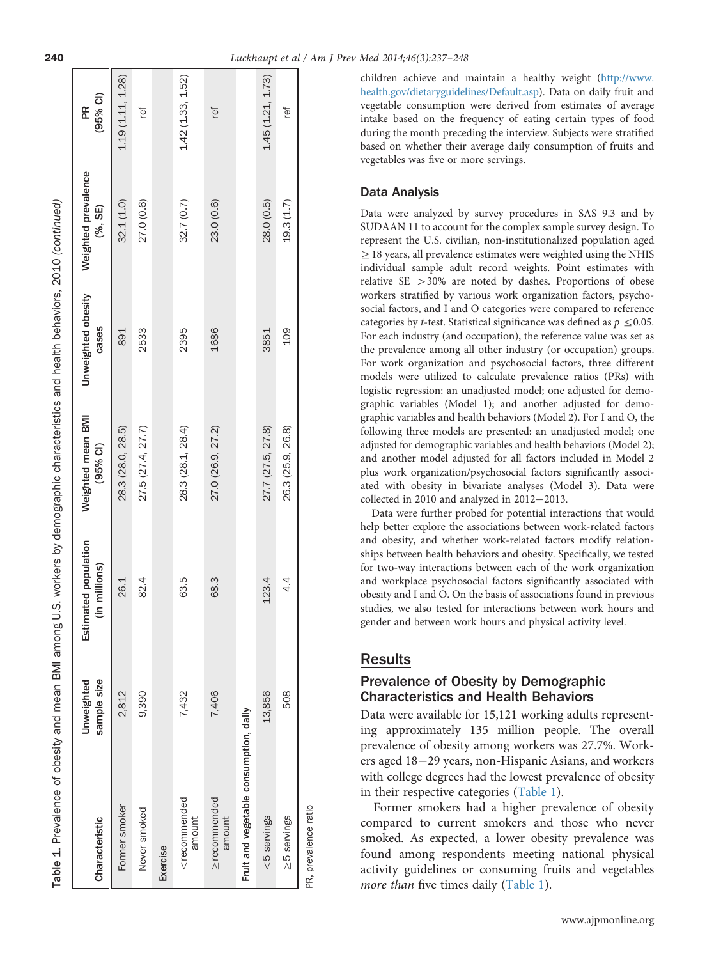|                                         |                           | Table 1. Prevalence of obesity and mean BMI among U.S. workers by demographic characteristics and health behaviors, 2010 (continued) |                               |                             |                                |                   |
|-----------------------------------------|---------------------------|--------------------------------------------------------------------------------------------------------------------------------------|-------------------------------|-----------------------------|--------------------------------|-------------------|
| Characteristic                          | sample size<br>Unweighted | Estimated population<br>(in millions)                                                                                                | Weighted mean BMI<br>(95% Cl) | Unweighted obesity<br>cases | Weighted prevalence<br>(%, SE) | $(95%$ CI)<br>Æ   |
| Former smoker                           | 2,812                     | 26.1                                                                                                                                 | 28.3 (28.0, 28.5)             | 891                         | 32.1(1.0)                      | 1.19 (1.11, 1.28) |
| Never smoked                            | 9,390                     | 82.4                                                                                                                                 | 27.5 (27.4, 27.7)             | 2533                        | 27.0 (0.6)                     | ľef               |
| Exercise                                |                           |                                                                                                                                      |                               |                             |                                |                   |
| <recommended<br>amount</recommended<br> | 7,432                     | 63.5                                                                                                                                 | 28.3 (28.1, 28.4)             | 2395                        | 32.7 (0.7)                     | 1.42 (1.33, 1.52) |
| >recommended<br>amount                  | 7,406                     | 68.3                                                                                                                                 | 27.0 (26.9, 27.2)             | 1686                        | 23.0 (0.6)                     | ref               |
| Fruit and vegetable consumption, daily  |                           |                                                                                                                                      |                               |                             |                                |                   |
| $<$ 5 servings                          | 13,856                    | 123.4                                                                                                                                | 27.7 (27.5, 27.8)             | 3851                        | 28.0 (0.5)                     | 1.45(1.21, 1.73)  |
| $\geq$ 5 servings                       | 508                       | 4.4                                                                                                                                  | 26.3 (25.9, 26.8)             | 109                         | 19.3(1.7)                      | ľef               |
|                                         |                           |                                                                                                                                      |                               |                             |                                |                   |

children achieve and maintain a healthy weight [\(http://www.](http://www.health.gov/dietaryguidelines/Default.asp) [health.gov/dietaryguidelines/Default.asp\)](http://www.health.gov/dietaryguidelines/Default.asp). Data on daily fruit and vegetable consumption were derived from estimates of average intake based on the frequency of eating certain types of food during the month preceding the interview. Subjects were stratified based on whether their average daily consumption of fruits and vegetables was five or more servings.

#### Data Analysis

Data were analyzed by survey procedures in SAS 9.3 and by SUDAAN 11 to account for the complex sample survey design. To represent the U.S. civilian, non-institutionalized population aged  $\geq$  18 years, all prevalence estimates were weighted using the NHIS individual sample adult record weights. Point estimates with relative  $SE$   $>$  30% are noted by dashes. Proportions of obese workers stratified by various work organization factors, psychosocial factors, and I and O categories were compared to reference categories by *t*-test. Statistical significance was defined as  $p \leq 0.05$ . For each industry (and occupation), the reference value was set as the prevalence among all other industry (or occupation) groups. For work organization and psychosocial factors, three different models were utilized to calculate prevalence ratios (PRs) with logistic regression: an unadjusted model; one adjusted for demographic variables (Model 1); and another adjusted for demographic variables and health behaviors (Model 2). For I and O, the following three models are presented: an unadjusted model; one adjusted for demographic variables and health behaviors (Model 2); and another model adjusted for all factors included in Model 2 plus work organization/psychosocial factors significantly associated with obesity in bivariate analyses (Model 3). Data were collected in 2010 and analyzed in  $2012-2013$ .

Data were further probed for potential interactions that would help better explore the associations between work-related factors and obesity, and whether work-related factors modify relationships between health behaviors and obesity. Specifically, we tested for two-way interactions between each of the work organization and workplace psychosocial factors significantly associated with obesity and I and O. On the basis of associations found in previous studies, we also tested for interactions between work hours and gender and between work hours and physical activity level.

## Results

PR, prevalence ratio

РÉ.

prevalence ration

#### Prevalence of Obesity by Demographic Characteristics and Health Behaviors

Data were available for 15,121 working adults representing approximately 135 million people. The overall prevalence of obesity among workers was 27.7%. Workers aged 18-29 years, non-Hispanic Asians, and workers with college degrees had the lowest prevalence of obesity in their respective categories ([Table 1](#page-2-0)).

Former smokers had a higher prevalence of obesity compared to current smokers and those who never smoked. As expected, a lower obesity prevalence was found among respondents meeting national physical activity guidelines or consuming fruits and vegetables more than five times daily [\(Table 1\)](#page-2-0).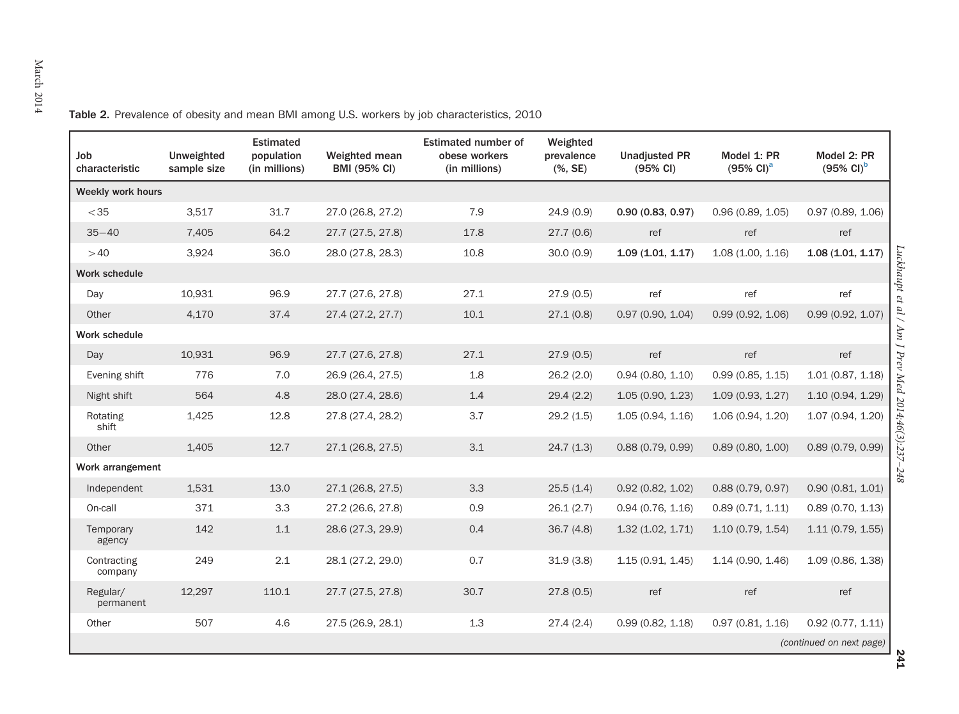#### <span id="page-4-0"></span>Table 2. Prevalence of obesity and mean BMI among U.S. workers by job characteristics, 2010

| Job<br>characteristic  | Unweighted<br>sample size | <b>Estimated</b><br>population<br>(in millions) | Weighted mean<br><b>BMI (95% CI)</b> | <b>Estimated number of</b><br>obese workers<br>(in millions) | Weighted<br>prevalence<br>(%, SE) | <b>Unadjusted PR</b><br>$(95% \text{ Cl})$ | Model 1: PR<br>$(95\% \text{ Cl})^a$ | Model 2: PR<br>$(95\% \text{ Cl})^{\text{b}}$                           |
|------------------------|---------------------------|-------------------------------------------------|--------------------------------------|--------------------------------------------------------------|-----------------------------------|--------------------------------------------|--------------------------------------|-------------------------------------------------------------------------|
| Weekly work hours      |                           |                                                 |                                      |                                                              |                                   |                                            |                                      |                                                                         |
| $<$ 35 $\,$            | 3,517                     | 31.7                                            | 27.0 (26.8, 27.2)                    | 7.9                                                          | 24.9(0.9)                         | 0.90(0.83, 0.97)                           | 0.96(0.89, 1.05)                     | 0.97(0.89, 1.06)                                                        |
| $35 - 40$              | 7,405                     | 64.2                                            | 27.7 (27.5, 27.8)                    | 17.8                                                         | 27.7(0.6)                         | ref                                        | ref                                  | ref                                                                     |
| >40                    | 3,924                     | 36.0                                            | 28.0 (27.8, 28.3)                    | 10.8                                                         | 30.0(0.9)                         | 1.09(1.01, 1.17)                           | 1.08(1.00, 1.16)                     | 1.08(1.01, 1.17)                                                        |
| Work schedule          |                           |                                                 |                                      |                                                              |                                   |                                            |                                      |                                                                         |
| Day                    | 10,931                    | 96.9                                            | 27.7 (27.6, 27.8)                    | 27.1                                                         | 27.9(0.5)                         | ref                                        | ref                                  | ref                                                                     |
| Other                  | 4,170                     | 37.4                                            | 27.4 (27.2, 27.7)                    | 10.1                                                         | 27.1(0.8)                         | 0.97(0.90, 1.04)                           | 0.99(0.92, 1.06)                     | 0.99(0.92, 1.07)                                                        |
| Work schedule          |                           |                                                 |                                      |                                                              |                                   |                                            |                                      |                                                                         |
| Day                    | 10,931                    | 96.9                                            | 27.7 (27.6, 27.8)                    | 27.1                                                         | 27.9(0.5)                         | ref                                        | ref                                  | ref                                                                     |
| Evening shift          | 776                       | 7.0                                             | 26.9 (26.4, 27.5)                    | 1.8                                                          | 26.2(2.0)                         | 0.94(0.80, 1.10)                           | 0.99(0.85, 1.15)                     | 1.01(0.87, 1.18)                                                        |
| Night shift            | 564                       | 4.8                                             | 28.0 (27.4, 28.6)                    | 1.4                                                          | 29.4(2.2)                         | 1.05(0.90, 1.23)                           | 1.09(0.93, 1.27)                     | 1.10 (0.94, 1.29)                                                       |
| Rotating<br>shift      | 1,425                     | 12.8                                            | 27.8 (27.4, 28.2)                    | 3.7                                                          | 29.2(1.5)                         | 1.05(0.94, 1.16)                           | 1.06(0.94, 1.20)                     | Luckhaupt et al / Am J Prev Med 2014:46(3):237-248<br>1.07 (0.94, 1.20) |
| Other                  | 1,405                     | 12.7                                            | 27.1 (26.8, 27.5)                    | 3.1                                                          | 24.7(1.3)                         | 0.88(0.79, 0.99)                           | 0.89(0.80, 1.00)                     | 0.89(0.79, 0.99)                                                        |
| Work arrangement       |                           |                                                 |                                      |                                                              |                                   |                                            |                                      |                                                                         |
| Independent            | 1,531                     | 13.0                                            | 27.1 (26.8, 27.5)                    | 3.3                                                          | 25.5(1.4)                         | 0.92(0.82, 1.02)                           | 0.88(0.79, 0.97)                     | 0.90(0.81, 1.01)                                                        |
| On-call                | 371                       | 3.3                                             | 27.2 (26.6, 27.8)                    | 0.9                                                          | 26.1(2.7)                         | 0.94(0.76, 1.16)                           | 0.89(0.71, 1.11)                     | 0.89(0.70, 1.13)                                                        |
| Temporary<br>agency    | 142                       | 1.1                                             | 28.6 (27.3, 29.9)                    | 0.4                                                          | 36.7(4.8)                         | 1.32(1.02, 1.71)                           | 1.10(0.79, 1.54)                     | 1.11(0.79, 1.55)                                                        |
| Contracting<br>company | 249                       | 2.1                                             | 28.1 (27.2, 29.0)                    | 0.7                                                          | 31.9(3.8)                         | 1.15(0.91, 1.45)                           | 1.14(0.90, 1.46)                     | 1.09 (0.86, 1.38)                                                       |
| Regular/<br>permanent  | 12,297                    | 110.1                                           | 27.7 (27.5, 27.8)                    | 30.7                                                         | 27.8(0.5)                         | ref                                        | ref                                  | ref                                                                     |
| Other                  | 507                       | 4.6                                             | 27.5 (26.9, 28.1)                    | 1.3                                                          | 27.4(2.4)                         | 0.99(0.82, 1.18)                           | 0.97(0.81, 1.16)                     | 0.92(0.77, 1.11)                                                        |
|                        |                           |                                                 |                                      |                                                              |                                   |                                            |                                      | (continued on next page)                                                |

241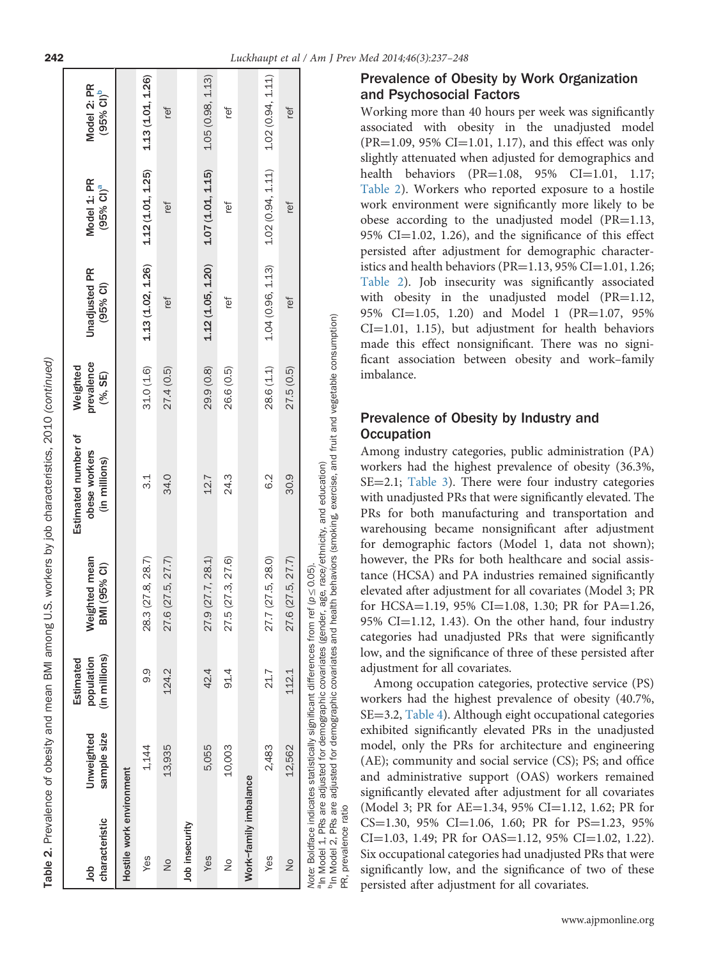<span id="page-5-0"></span>

|                          |                           |                                          |                                            | Table 2. Prevalence of obesity and mean BMI among U.S. workers by job characteristics, 2010 (continued) |                                   |                                    |                                        |                                        |
|--------------------------|---------------------------|------------------------------------------|--------------------------------------------|---------------------------------------------------------------------------------------------------------|-----------------------------------|------------------------------------|----------------------------------------|----------------------------------------|
| characteristic<br>dop    | sample size<br>Unweighted | (in millions)<br>population<br>Estimated | Weighted mean<br>BMI (95% CI)              | Estimated number of<br>obese workers<br>(in millions)                                                   | prevalence<br>Weighted<br>(%, SE) | <b>Unadjusted PR</b><br>$(95%$ CI) | Model 1: PR<br>$(95%$ CI) <sup>a</sup> | Model 2: PR<br>$(95%$ CI) <sup>b</sup> |
| Hostile work environment |                           |                                          |                                            |                                                                                                         |                                   |                                    |                                        |                                        |
| Yes                      | 1,144                     | 9.9                                      | 28.3 (27.8, 28.7)                          | ე<br>თ                                                                                                  | 31.0 (1.6)                        | 1.13 (1.02, 1.26)                  | 1.12(1.01, 1.25)                       | 1.13 (1.01, 1.26)                      |
| $\frac{1}{2}$            | 13,935                    | 124.2                                    | 27.6 (27.5, 27.7)                          | 34.0                                                                                                    | 27.4(0.5)                         | ref                                | ref                                    | ref                                    |
| Job insecurity           |                           |                                          |                                            |                                                                                                         |                                   |                                    |                                        |                                        |
| Yes                      | 5,055                     | 42.4                                     | 27.9 (27.7, 28.1)                          | 12.7                                                                                                    | 29.9 (0.8)                        | 1.12(1.05, 1.20)                   | 1.07 (1.01, 1.15)                      | 1.05(0.98, 1.13)                       |
| $\frac{1}{2}$            | 10,003                    | 91.4                                     | 7.5(27.3, 27.6)<br>$\overline{\mathsf{N}}$ | 24.3                                                                                                    | 26.6 (0.5)                        | ľef                                | ref                                    | ref                                    |
| Work-family imbalance    |                           |                                          |                                            |                                                                                                         |                                   |                                    |                                        |                                        |
| Yes                      | 2,483                     | 21.7                                     | 27.7 (27.5, 28.0)                          | δ2                                                                                                      | 28.6 (1.1)                        | 1.04 (0.96, 1.13)                  | 1.02(0.94, 1.11)                       | 1.02(0.94, 1.11)                       |
| $\frac{1}{2}$            | 12,562                    | 112.1                                    | 27.6 (27.5, 27.7)                          | 30.9                                                                                                    | 27.5(0.5)                         | ref                                | ref                                    | ref                                    |

Note: Boldface indicates statistically significant differences from ref (ρ ≤ 0.05).<br><sup>a</sup>In Model 1, PRs are adjusted for demographic covariates (gender, age, race/ethnicity, and education)

Note: Boldface indicates statistically significant differences from ref ( $p \leq 0.05$ )

bIn Model 2, PRs are adjusted for demographic covariates and health behaviors (smoking, exercise, and fruit and vegetable consumption)

PRs are adjusted for demographic covariates (gender, age, race/ethnicity, and education)<br>PRs are adjusted for demographic covariates and health behaviors (smoking, exercise, and fruit and vegetable consumption)

PR, prevalence ratio

prevalence <sup>a</sup>ln Model 1, P<br><sup>b</sup>ln Model 2, P<br>PR, prevalence

ratio

### Prevalence of Obesity by Work Organization and Psychosocial Factors

Working more than 40 hours per week was significantly associated with obesity in the unadjusted model  $(PR=1.09, 95\% CI=1.01, 1.17)$ , and this effect was only slightly attenuated when adjusted for demographics and health behaviors (PR= $1.08$ , 95% CI= $1.01$ , 1.17; [Table 2\)](#page-4-0). Workers who reported exposure to a hostile work environment were significantly more likely to be obese according to the unadjusted model  $(PR=1.13,$ 95% CI=1.02, 1.26), and the significance of this effect persisted after adjustment for demographic characteristics and health behaviors (PR= $1.13$ , 95% CI= $1.01$ , 1.26; [Table 2\)](#page-4-0). Job insecurity was significantly associated with obesity in the unadjusted model  $(PR=1.12,$ 95% CI=1.05, 1.20) and Model 1 (PR=1.07, 95%  $CI=1.01$ , 1.15), but adjustment for health behaviors made this effect nonsignificant. There was no significant association between obesity and work–family imbalance.

### Prevalence of Obesity by Industry and **Occupation**

Among industry categories, public administration (PA) workers had the highest prevalence of obesity (36.3%,  $SE = 2.1$ ; [Table 3\)](#page-6-0). There were four industry categories with unadjusted PRs that were significantly elevated. The PRs for both manufacturing and transportation and warehousing became nonsignificant after adjustment for demographic factors (Model 1, data not shown); however, the PRs for both healthcare and social assistance (HCSA) and PA industries remained significantly elevated after adjustment for all covariates (Model 3; PR for HCSA=1.19, 95% CI=1.08, 1.30; PR for PA=1.26, 95% CI=1.12, 1.43). On the other hand, four industry categories had unadjusted PRs that were significantly low, and the significance of three of these persisted after adjustment for all covariates.

Among occupation categories, protective service (PS) workers had the highest prevalence of obesity (40.7%, SE=3.2, [Table 4\)](#page-8-0). Although eight occupational categories exhibited significantly elevated PRs in the unadjusted model, only the PRs for architecture and engineering (AE); community and social service (CS); PS; and office and administrative support (OAS) workers remained significantly elevated after adjustment for all covariates (Model 3; PR for AE=1.34, 95% CI=1.12, 1.62; PR for  $CS=1.30$ , 95%  $CI=1.06$ , 1.60; PR for PS=1.23, 95% CI=1.03, 1.49; PR for OAS=1.12, 95% CI=1.02, 1.22). Six occupational categories had unadjusted PRs that were significantly low, and the significance of two of these persisted after adjustment for all covariates.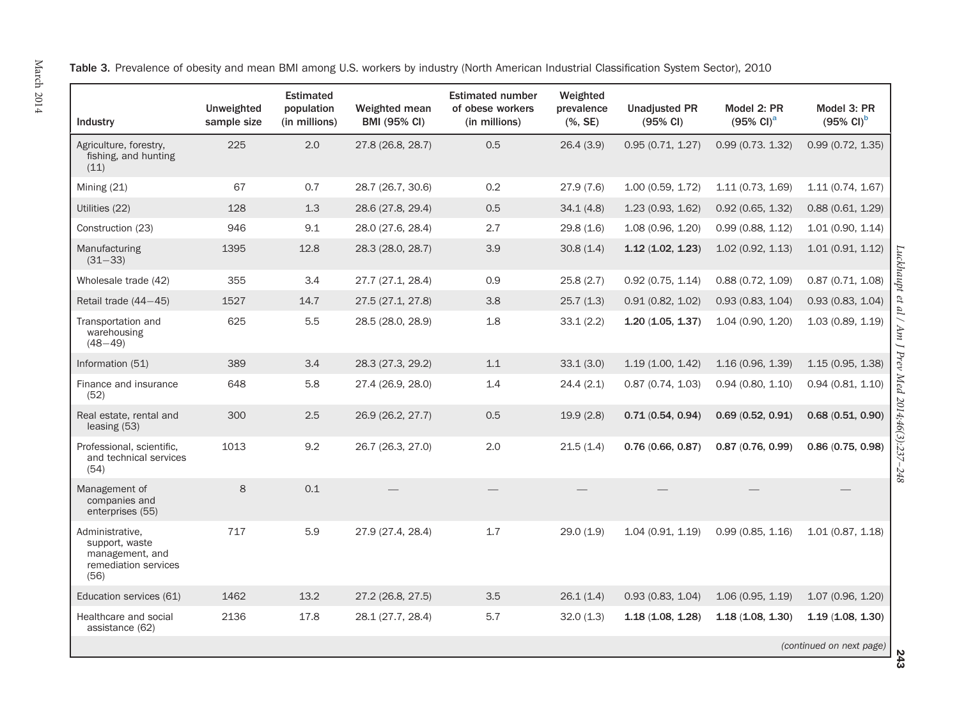<span id="page-6-0"></span>Table 3. Prevalence of obesity and mean BMI among U.S. workers by industry (North American Industrial Classification System Sector), 2010

| Industry                                                                             | Unweighted<br>sample size | Estimated<br>population<br>(in millions) | Weighted mean<br><b>BMI (95% CI)</b> | <b>Estimated number</b><br>of obese workers<br>(in millions) | Weighted<br>prevalence<br>(%, SE) | <b>Unadjusted PR</b><br>$(95% \text{ Cl})$ | Model 2: PR<br>$(95\% \text{ Cl})^a$ | Model 3: PR<br>$(95\% \text{ Cl})^b$ |                                                    |
|--------------------------------------------------------------------------------------|---------------------------|------------------------------------------|--------------------------------------|--------------------------------------------------------------|-----------------------------------|--------------------------------------------|--------------------------------------|--------------------------------------|----------------------------------------------------|
| Agriculture, forestry,<br>fishing, and hunting<br>(11)                               | 225                       | 2.0                                      | 27.8 (26.8, 28.7)                    | 0.5                                                          | 26.4(3.9)                         | 0.95(0.71, 1.27)                           | 0.99(0.73, 1.32)                     | 0.99(0.72, 1.35)                     |                                                    |
| Mining (21)                                                                          | 67                        | 0.7                                      | 28.7 (26.7, 30.6)                    | 0.2                                                          | 27.9(7.6)                         | 1.00(0.59, 1.72)                           | 1.11(0.73, 1.69)                     | 1.11(0.74, 1.67)                     |                                                    |
| Utilities (22)                                                                       | 128                       | 1.3                                      | 28.6 (27.8, 29.4)                    | 0.5                                                          | 34.1(4.8)                         | 1.23(0.93, 1.62)                           | 0.92(0.65, 1.32)                     | 0.88(0.61, 1.29)                     |                                                    |
| Construction (23)                                                                    | 946                       | 9.1                                      | 28.0 (27.6, 28.4)                    | 2.7                                                          | 29.8(1.6)                         | 1.08 (0.96, 1.20)                          | 0.99(0.88, 1.12)                     | 1.01(0.90, 1.14)                     |                                                    |
| Manufacturing<br>$(31 - 33)$                                                         | 1395                      | 12.8                                     | 28.3 (28.0, 28.7)                    | 3.9                                                          | 30.8(1.4)                         | 1.12(1.02, 1.23)                           | 1.02(0.92, 1.13)                     | 1.01(0.91, 1.12)                     |                                                    |
| Wholesale trade (42)                                                                 | 355                       | 3.4                                      | 27.7 (27.1, 28.4)                    | 0.9                                                          | 25.8(2.7)                         | 0.92(0.75, 1.14)                           | 0.88(0.72, 1.09)                     | $0.87$ (0.71, 1.08)                  |                                                    |
| Retail trade (44-45)                                                                 | 1527                      | 14.7                                     | 27.5 (27.1, 27.8)                    | 3.8                                                          | 25.7(1.3)                         | 0.91(0.82, 1.02)                           | 0.93(0.83, 1.04)                     | 0.93(0.83, 1.04)                     |                                                    |
| Transportation and<br>warehousing<br>$(48 - 49)$                                     | 625                       | 5.5                                      | 28.5 (28.0, 28.9)                    | 1.8                                                          | 33.1(2.2)                         | 1.20(1.05, 1.37)                           | 1.04 (0.90, 1.20)                    | 1.03(0.89, 1.19)                     | Luckhaupt et al / Am J Prev Med 2014;46(3):237-248 |
| Information (51)                                                                     | 389                       | 3.4                                      | 28.3 (27.3, 29.2)                    | 1.1                                                          | 33.1(3.0)                         | 1.19(1.00, 1.42)                           | 1.16 (0.96, 1.39)                    | 1.15(0.95, 1.38)                     |                                                    |
| Finance and insurance<br>(52)                                                        | 648                       | 5.8                                      | 27.4 (26.9, 28.0)                    | 1.4                                                          | 24.4(2.1)                         | $0.87$ (0.74, 1.03)                        | 0.94(0.80, 1.10)                     | $0.94$ (0.81, 1.10)                  |                                                    |
| Real estate, rental and<br>leasing (53)                                              | 300                       | 2.5                                      | 26.9 (26.2, 27.7)                    | 0.5                                                          | 19.9(2.8)                         | 0.71(0.54, 0.94)                           | 0.69(0.52, 0.91)                     | 0.68(0.51, 0.90)                     |                                                    |
| Professional, scientific,<br>and technical services<br>(54)                          | 1013                      | 9.2                                      | 26.7 (26.3, 27.0)                    | 2.0                                                          | 21.5(1.4)                         | 0.76(0.66, 0.87)                           | 0.87(0.76, 0.99)                     | 0.86(0.75, 0.98)                     |                                                    |
| Management of<br>companies and<br>enterprises (55)                                   | 8                         | 0.1                                      |                                      |                                                              |                                   |                                            |                                      |                                      |                                                    |
| Administrative,<br>support, waste<br>management, and<br>remediation services<br>(56) | 717                       | 5.9                                      | 27.9 (27.4, 28.4)                    | 1.7                                                          | 29.0 (1.9)                        | 1.04(0.91, 1.19)                           | 0.99(0.85, 1.16)                     | 1.01(0.87, 1.18)                     |                                                    |
| Education services (61)                                                              | 1462                      | 13.2                                     | 27.2 (26.8, 27.5)                    | 3.5                                                          | 26.1(1.4)                         | 0.93(0.83, 1.04)                           | 1.06(0.95, 1.19)                     | 1.07 (0.96, 1.20)                    |                                                    |
| Healthcare and social<br>assistance (62)                                             | 2136                      | 17.8                                     | 28.1 (27.7, 28.4)                    | 5.7                                                          | 32.0(1.3)                         | 1.18(1.08, 1.28)                           | 1.18(1.08, 1.30)                     | 1.19(1.08, 1.30)                     |                                                    |
|                                                                                      |                           |                                          |                                      |                                                              |                                   |                                            |                                      | (continued on next page)             |                                                    |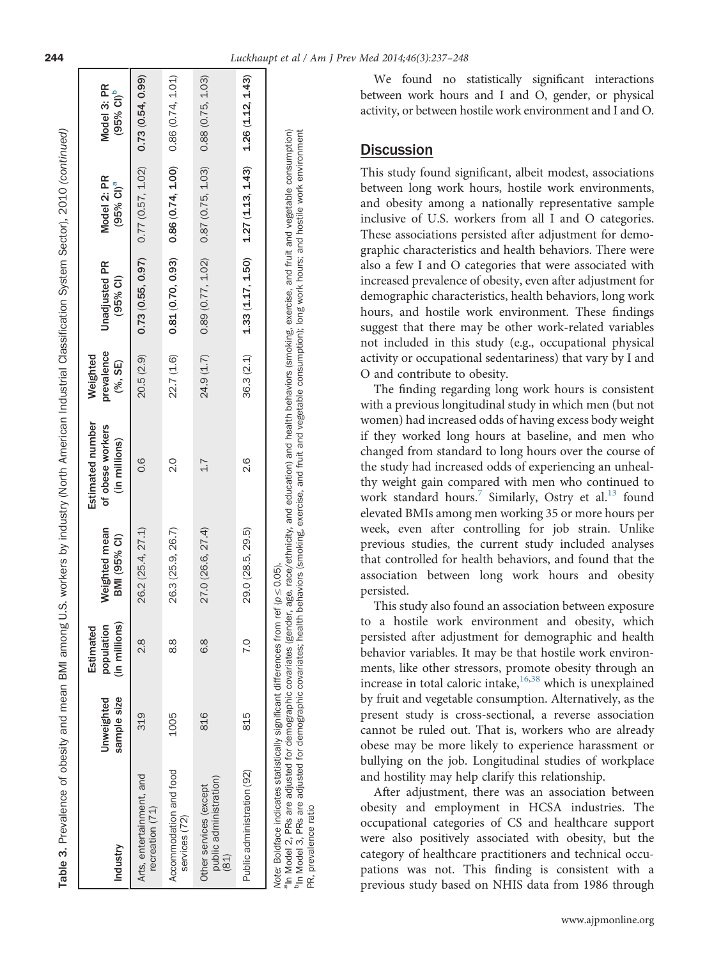<span id="page-7-0"></span>

| Table 3. Prevalence of obesity and mean BMI among U.S. workers by industry (North American Industrial Classification System Sector), 2010 (continued) |                           |                                         |                               |                                                       |                                   |                                    |                                                          |                                        |
|-------------------------------------------------------------------------------------------------------------------------------------------------------|---------------------------|-----------------------------------------|-------------------------------|-------------------------------------------------------|-----------------------------------|------------------------------------|----------------------------------------------------------|----------------------------------------|
| Industry                                                                                                                                              | sample size<br>Unweighted | Estimated<br>population<br>(in millions | Weighted mean<br>BMI (95% CI) | Estimated number<br>of obese workers<br>(in millions) | prevalence<br>Weighted<br>(%, SE) | <b>Unadjusted PR</b><br>$(95%$ CI) | Model 2: PR<br>$(95%$ CI) <sup>a</sup>                   | Model 3: PR<br>$(95%$ CI) <sup>D</sup> |
| Arts, entertainment, and<br>recreation (71)                                                                                                           | 319                       | 8.<br>2.i                               | 26.2 (25.4, 27.1)             | 0.6                                                   | 20.5(2.9)                         |                                    | $0.73(0.55, 0.97)$ $0.77(0.57, 1.02)$ $0.73(0.54, 0.99)$ |                                        |
| Accommodation and food<br>services (72)                                                                                                               | 1005                      | 8.                                      | 26.3 (25.9, 26.7)             | O.<br>N                                               | 22.7 (1.6)                        | 0.81(0.70, 0.93)                   | 0.86(0.74, 1.00)                                         | 0.86 (0.74, 1.01)                      |
| public administration)<br>Other services (except<br>(81)                                                                                              | 816                       | 6.8                                     | 27.0 (26.6, 27.4)             |                                                       | 24.9 (1.7)                        | 0.89(0.77, 1.02)                   | 0.87(0.75, 1.03)                                         | 0.88(0.75, 1.03)                       |
| Public administration (92)                                                                                                                            | 815                       | $\frac{1}{2}$                           | 29.0 (28.5, 29.5)             | 0.<br>2.                                              | 36.3 (2.1)                        |                                    | $1.33(1.17, 1.50)$ $1.27(1.13, 1.43)$ $1.26(1.12, 1.43)$ |                                        |

from ref ( $p \leq 0.05$ ) differences Boldface indicates statistically significant Note: I

Note: Boldface indicates statistically significant differences from ref (p.≤0.05).<br><sup>a</sup>ln Model 2, PRs are adjusted for demographic covariates (gender, age, race/ethnicity, and education) and health behaviors (smoking, exer PRs are adjusted for demographic covariates (gender, age, race/ethnicity, and education) and health behaviors (smoking, exercise, and fruit and vegetable consumption) long work hours; and hostile work environment for demographic covariates; health behaviors (smoking, exercise, and fruit and vegetable consumption); adjusted are prevalence ratio PR, prevalence ratio PRs: <sup>a</sup>ln Model 2, P<br><sup>b</sup>ln Model 3, P  $\frac{5}{2}$  R,

We found no statistically significant interactions between work hours and I and O, gender, or physical activity, or between hostile work environment and I and O.

## Discussion

This study found significant, albeit modest, associations between long work hours, hostile work environments, and obesity among a nationally representative sample inclusive of U.S. workers from all I and O categories. These associations persisted after adjustment for demographic characteristics and health behaviors. There were also a few I and O categories that were associated with increased prevalence of obesity, even after adjustment for demographic characteristics, health behaviors, long work hours, and hostile work environment. These findings suggest that there may be other work-related variables not included in this study (e.g., occupational physical activity or occupational sedentariness) that vary by I and O and contribute to obesity.

The finding regarding long work hours is consistent with a previous longitudinal study in which men (but not women) had increased odds of having excess body weight if they worked long hours at baseline, and men who changed from standard to long hours over the course of the study had increased odds of experiencing an unhealthy weight gain compared with men who continued to work standard hours.<sup>[7](#page-11-0)</sup> Similarly, Ostry et al.<sup>[13](#page-11-0)</sup> found elevated BMIs among men working 35 or more hours per week, even after controlling for job strain. Unlike previous studies, the current study included analyses that controlled for health behaviors, and found that the association between long work hours and obesity persisted.

This study also found an association between exposure to a hostile work environment and obesity, which persisted after adjustment for demographic and health behavior variables. It may be that hostile work environments, like other stressors, promote obesity through an increase in total caloric intake, $16,38$  which is unexplained by fruit and vegetable consumption. Alternatively, as the present study is cross-sectional, a reverse association cannot be ruled out. That is, workers who are already obese may be more likely to experience harassment or bullying on the job. Longitudinal studies of workplace and hostility may help clarify this relationship.

After adjustment, there was an association between obesity and employment in HCSA industries. The occupational categories of CS and healthcare support were also positively associated with obesity, but the category of healthcare practitioners and technical occupations was not. This finding is consistent with a previous study based on NHIS data from 1986 through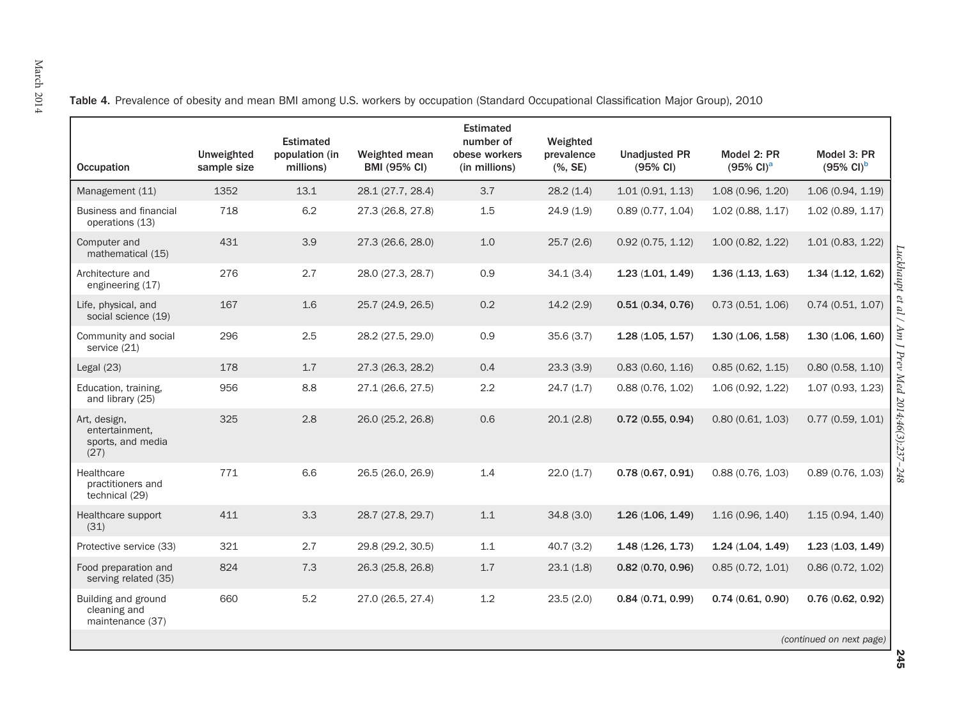<span id="page-8-0"></span>

|                                                             | Unweighted  | <b>Estimated</b><br>population (in | <b>Weighted mean</b> | <b>Estimated</b><br>number of<br>obese workers | Weighted<br>prevalence | <b>Unadjusted PR</b> | Model 2: PR           | Model 3: PR                                                        |
|-------------------------------------------------------------|-------------|------------------------------------|----------------------|------------------------------------------------|------------------------|----------------------|-----------------------|--------------------------------------------------------------------|
| <b>Occupation</b>                                           | sample size | millions)                          | <b>BMI (95% CI)</b>  | (in millions)                                  | (%, SE)                | $(95% \text{ Cl})$   | $(95\% \text{ Cl})^a$ | $(95\% \text{ Cl})^{\text{b}}$                                     |
| Management (11)                                             | 1352        | 13.1                               | 28.1 (27.7, 28.4)    | 3.7                                            | 28.2(1.4)              | 1.01(0.91, 1.13)     | 1.08(0.96, 1.20)      | 1.06(0.94, 1.19)                                                   |
| Business and financial<br>operations (13)                   | 718         | 6.2                                | 27.3 (26.8, 27.8)    | 1.5                                            | 24.9(1.9)              | 0.89(0.77, 1.04)     | 1.02(0.88, 1.17)      | 1.02(0.89, 1.17)                                                   |
| Computer and<br>mathematical (15)                           | 431         | 3.9                                | 27.3 (26.6, 28.0)    | 1.0                                            | 25.7(2.6)              | 0.92(0.75, 1.12)     | 1.00(0.82, 1.22)      | 1.01(0.83, 1.22)                                                   |
| Architecture and<br>engineering (17)                        | 276         | 2.7                                | 28.0 (27.3, 28.7)    | 0.9                                            | 34.1(3.4)              | 1.23(1.01, 1.49)     | 1.36(1.13, 1.63)      | 1.34(1.12, 1.62)                                                   |
| Life, physical, and<br>social science (19)                  | 167         | 1.6                                | 25.7 (24.9, 26.5)    | 0.2                                            | 14.2(2.9)              | 0.51(0.34, 0.76)     | 0.73(0.51, 1.06)      | 0.74(0.51, 1.07)                                                   |
| Community and social<br>service (21)                        | 296         | 2.5                                | 28.2 (27.5, 29.0)    | 0.9                                            | 35.6(3.7)              | 1.28(1.05, 1.57)     | 1.30(1.06, 1.58)      | 1.30(1.06, 1.60)                                                   |
| Legal $(23)$                                                | 178         | 1.7                                | 27.3 (26.3, 28.2)    | 0.4                                            | 23.3(3.9)              | 0.83(0.60, 1.16)     | 0.85(0.62, 1.15)      | 0.80(0.58, 1.10)                                                   |
| Education, training,<br>and library (25)                    | 956         | 8.8                                | 27.1 (26.6, 27.5)    | 2.2                                            | 24.7(1.7)              | 0.88(0.76, 1.02)     | 1.06 (0.92, 1.22)     | 1.07 (0.93, 1.23)                                                  |
| Art, design,<br>entertainment.<br>sports, and media<br>(27) | 325         | 2.8                                | 26.0 (25.2, 26.8)    | 0.6                                            | 20.1(2.8)              | $0.72$ (0.55, 0.94)  | 0.80(0.61, 1.03)      | Luckhaupt et al / Am J Prev Med 2014;46(3):237<br>0.77(0.59, 1.01) |
| Healthcare<br>practitioners and<br>technical (29)           | 771         | 6.6                                | 26.5 (26.0, 26.9)    | 1.4                                            | 22.0(1.7)              | 0.78(0.67, 0.91)     | 0.88(0.76, 1.03)      | 0.89(0.76, 1.03)                                                   |
| Healthcare support<br>(31)                                  | 411         | 3.3                                | 28.7 (27.8, 29.7)    | 1.1                                            | 34.8(3.0)              | 1.26(1.06, 1.49)     | 1.16 (0.96, 1.40)     | 1.15(0.94, 1.40)                                                   |
| Protective service (33)                                     | 321         | 2.7                                | 29.8 (29.2, 30.5)    | 1.1                                            | 40.7(3.2)              | 1.48(1.26, 1.73)     | 1.24(1.04, 1.49)      | 1.23(1.03, 1.49)                                                   |
| Food preparation and<br>serving related (35)                | 824         | 7.3                                | 26.3 (25.8, 26.8)    | 1.7                                            | 23.1(1.8)              | $0.82$ (0.70, 0.96)  | 0.85(0.72, 1.01)      | 0.86(0.72, 1.02)                                                   |
| Building and ground<br>cleaning and<br>maintenance (37)     | 660         | 5.2                                | 27.0 (26.5, 27.4)    | 1.2                                            | 23.5(2.0)              | 0.84(0.71, 0.99)     | 0.74(0.61, 0.90)      | 0.76(0.62, 0.92)                                                   |
|                                                             |             |                                    |                      |                                                |                        |                      |                       | (continued on next page)                                           |

245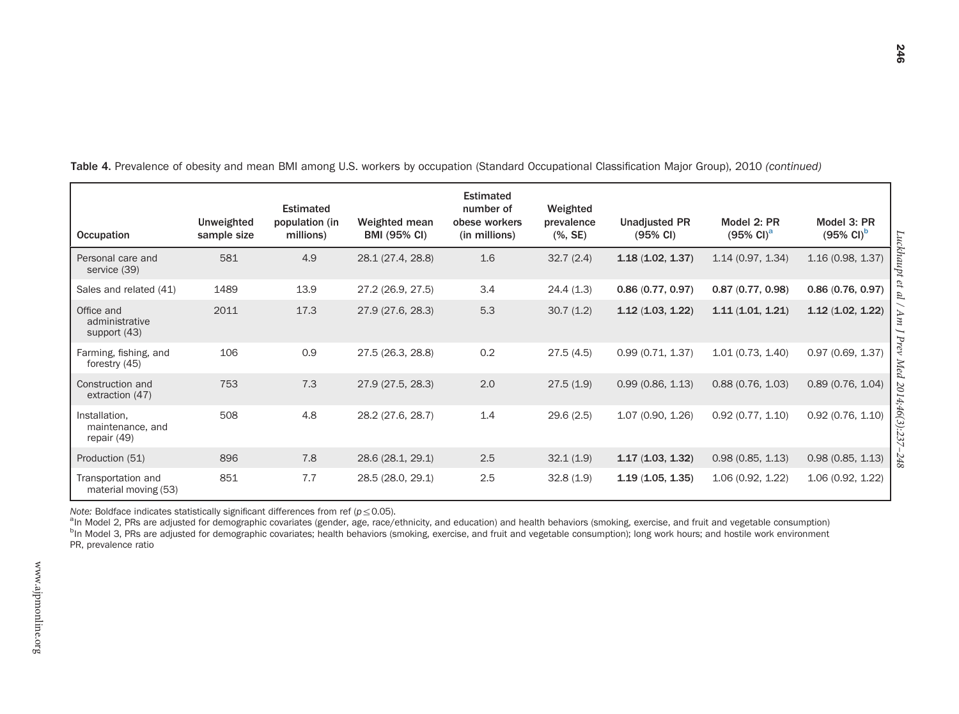| Occupation                                         | Unweighted<br>sample size | <b>Estimated</b><br>population (in<br>millions) | Weighted mean<br><b>BMI (95% CI)</b> | <b>Estimated</b><br>number of<br>obese workers<br>(in millions) | Weighted<br>prevalence<br>$(% )^{2}(6, SE)$ | <b>Unadjusted PR</b><br>$(95% \text{ Cl})$ | Model 2: PR<br>$(95\% \text{ Cl})^a$ | Model 3: PR<br>$(95\% \text{ Cl})^{\text{D}}$ |
|----------------------------------------------------|---------------------------|-------------------------------------------------|--------------------------------------|-----------------------------------------------------------------|---------------------------------------------|--------------------------------------------|--------------------------------------|-----------------------------------------------|
| Personal care and<br>service (39)                  | 581                       | 4.9                                             | 28.1 (27.4, 28.8)                    | 1.6                                                             | 32.7(2.4)                                   | 1.18(1.02, 1.37)                           | 1.14(0.97, 1.34)                     | 1.16(0.98, 1.37)                              |
| Sales and related (41)                             | 1489                      | 13.9                                            | 27.2 (26.9, 27.5)                    | 3.4                                                             | 24.4(1.3)                                   | 0.86(0.77, 0.97)                           | 0.87(0.77, 0.98)                     | 0.86(0.76, 0.97)                              |
| Office and<br>administrative<br>support (43)       | 2011                      | 17.3                                            | 27.9 (27.6, 28.3)                    | 5.3                                                             | 30.7(1.2)                                   | 1.12(1.03, 1.22)                           | 1.11(1.01, 1.21)                     | 1.12(1.02, 1.22)                              |
| Farming, fishing, and<br>forestry (45)             | 106                       | 0.9                                             | 27.5 (26.3, 28.8)                    | 0.2                                                             | 27.5(4.5)                                   | 0.99(0.71, 1.37)                           | 1.01(0.73, 1.40)                     | 0.97(0.69, 1.37)                              |
| Construction and<br>extraction (47)                | 753                       | 7.3                                             | 27.9 (27.5, 28.3)                    | 2.0                                                             | 27.5(1.9)                                   | 0.99(0.86, 1.13)                           | 0.88(0.76, 1.03)                     | 0.89(0.76, 1.04)                              |
| Installation,<br>maintenance, and<br>repair $(49)$ | 508                       | 4.8                                             | 28.2 (27.6, 28.7)                    | 1.4                                                             | 29.6(2.5)                                   | 1.07 (0.90, 1.26)                          | 0.92(0.77, 1.10)                     | 0.92(0.76, 1.10)                              |
| Production (51)                                    | 896                       | 7.8                                             | 28.6 (28.1, 29.1)                    | 2.5                                                             | 32.1(1.9)                                   | 1.17(1.03, 1.32)                           | 0.98(0.85, 1.13)                     | 0.98(0.85, 1.13)                              |
| Transportation and<br>material moving (53)         | 851                       | 7.7                                             | 28.5 (28.0, 29.1)                    | 2.5                                                             | 32.8(1.9)                                   | 1.19(1.05, 1.35)                           | 1.06(0.92, 1.22)                     | 1.06 (0.92, 1.22)                             |

<span id="page-9-0"></span>Table 4. Prevalence of obesity and mean BMI among U.S. workers by occupation (Standard Occupational Classification Major Group), 2010 (continued)

Note: Boldface indicates statistically significant differences from ref (p $\leq$ 0.05).

<sup>a</sup>In Model 2, PRs are adjusted for demographic covariates (gender, age, race/ethnicity, and education) and health behaviors (smoking, exercise, and fruit and vegetable consumption) <sup>b</sup>In Model 3, PRs are adjusted for demographic covariates; health behaviors (smoking, exercise, and fruit and vegetable consumption); long work hours; and hostile work environment PR, prevalence ratio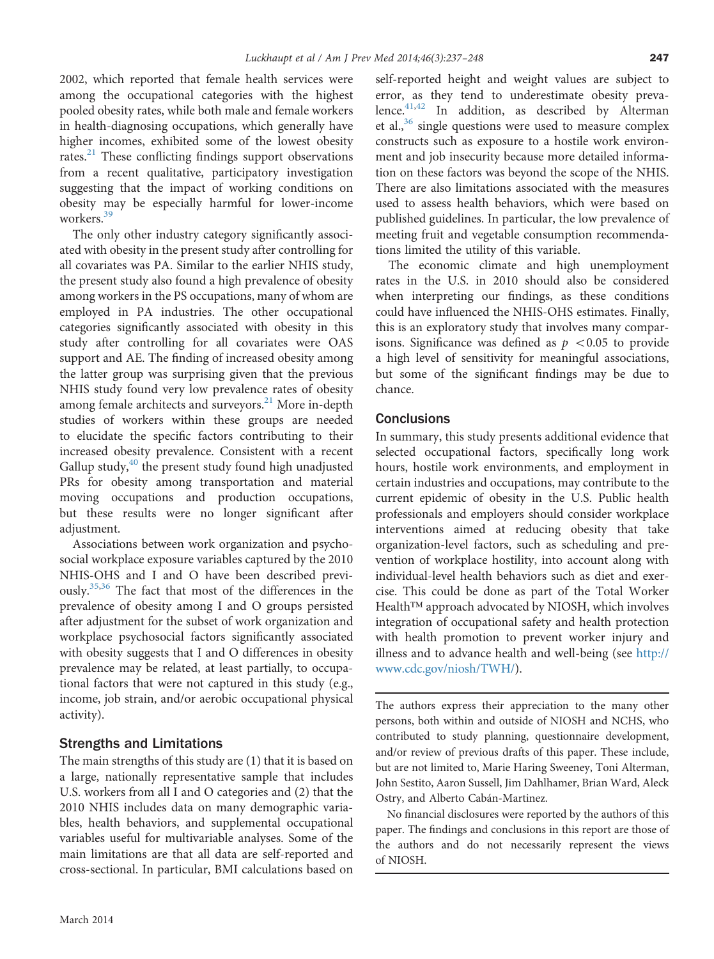2002, which reported that female health services were among the occupational categories with the highest pooled obesity rates, while both male and female workers in health-diagnosing occupations, which generally have higher incomes, exhibited some of the lowest obesity rates. $^{21}$  These conflicting findings support observations from a recent qualitative, participatory investigation suggesting that the impact of working conditions on obesity may be especially harmful for lower-income workers.<sup>[39](#page-11-0)</sup>

The only other industry category significantly associated with obesity in the present study after controlling for all covariates was PA. Similar to the earlier NHIS study, the present study also found a high prevalence of obesity among workers in the PS occupations, many of whom are employed in PA industries. The other occupational categories significantly associated with obesity in this study after controlling for all covariates were OAS support and AE. The finding of increased obesity among the latter group was surprising given that the previous NHIS study found very low prevalence rates of obesity among female architects and surveyors.<sup>21</sup> More in-depth studies of workers within these groups are needed to elucidate the specific factors contributing to their increased obesity prevalence. Consistent with a recent Gallup study, $40$  the present study found high unadjusted PRs for obesity among transportation and material moving occupations and production occupations, but these results were no longer significant after adjustment.

Associations between work organization and psychosocial workplace exposure variables captured by the 2010 NHIS-OHS and I and O have been described previously[.35,36](#page-11-0) The fact that most of the differences in the prevalence of obesity among I and O groups persisted after adjustment for the subset of work organization and workplace psychosocial factors significantly associated with obesity suggests that I and O differences in obesity prevalence may be related, at least partially, to occupational factors that were not captured in this study (e.g., income, job strain, and/or aerobic occupational physical activity).

#### Strengths and Limitations

The main strengths of this study are (1) that it is based on a large, nationally representative sample that includes U.S. workers from all I and O categories and (2) that the 2010 NHIS includes data on many demographic variables, health behaviors, and supplemental occupational variables useful for multivariable analyses. Some of the main limitations are that all data are self-reported and cross-sectional. In particular, BMI calculations based on

self-reported height and weight values are subject to error, as they tend to underestimate obesity prevalence. $41,42$  $41,42$  $41,42$  In addition, as described by Alterman et al.,  $36$  single questions were used to measure complex constructs such as exposure to a hostile work environment and job insecurity because more detailed information on these factors was beyond the scope of the NHIS. There are also limitations associated with the measures used to assess health behaviors, which were based on published guidelines. In particular, the low prevalence of meeting fruit and vegetable consumption recommendations limited the utility of this variable.

The economic climate and high unemployment rates in the U.S. in 2010 should also be considered when interpreting our findings, as these conditions could have influenced the NHIS-OHS estimates. Finally, this is an exploratory study that involves many comparisons. Significance was defined as  $p < 0.05$  to provide a high level of sensitivity for meaningful associations, but some of the significant findings may be due to chance.

#### **Conclusions**

In summary, this study presents additional evidence that selected occupational factors, specifically long work hours, hostile work environments, and employment in certain industries and occupations, may contribute to the current epidemic of obesity in the U.S. Public health professionals and employers should consider workplace interventions aimed at reducing obesity that take organization-level factors, such as scheduling and prevention of workplace hostility, into account along with individual-level health behaviors such as diet and exercise. This could be done as part of the Total Worker Health™ approach advocated by NIOSH, which involves integration of occupational safety and health protection with health promotion to prevent worker injury and illness and to advance health and well-being (see [http://](http://www.cdc.gov/niosh/TWH/) [www.cdc.gov/niosh/TWH/\)](http://www.cdc.gov/niosh/TWH/).

The authors express their appreciation to the many other persons, both within and outside of NIOSH and NCHS, who contributed to study planning, questionnaire development, and/or review of previous drafts of this paper. These include, but are not limited to, Marie Haring Sweeney, Toni Alterman, John Sestito, Aaron Sussell, Jim Dahlhamer, Brian Ward, Aleck Ostry, and Alberto Cabán-Martinez.

No financial disclosures were reported by the authors of this paper. The findings and conclusions in this report are those of the authors and do not necessarily represent the views of NIOSH.